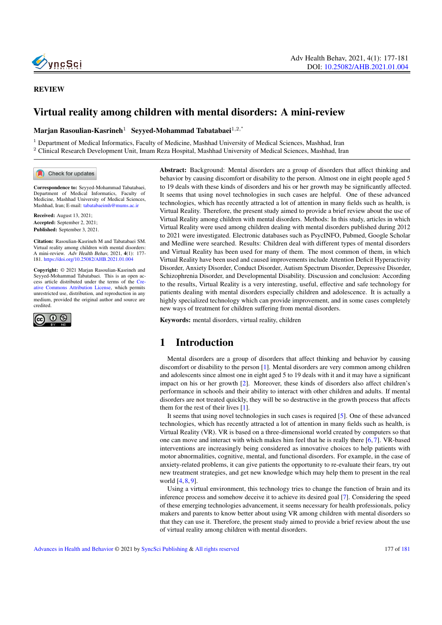

# Virtual reality among children with mental disorders: A mini-review

Marjan Rasoulian-Kasrineh $^1$  Seyyed-Mohammad Tabatabaei $^{1,2,\text{*}}$ 

<sup>1</sup> Department of Medical Informatics, Faculty of Medicine, Mashhad University of Medical Sciences, Mashhad, Iran <sup>2</sup> Clinical Research Development Unit, Imam Reza Hospital, Mashhad University of Medical Sciences, Mashhad, Iran

Check for updates

Correspondence to: Seyyed-Mohammad Tabatabaei, Department of Medical Informatics, Faculty of Medicine, Mashhad University of Medical Sciences, Mashhad, Iran; E-mail: <tabatabaeimh@mums.ac.ir>

Received: August 13, 2021; Accepted: September 2, 2021; Published: September 3, 2021.

Citation: Rasoulian-Kasrineh M and Tabatabaei SM. Virtual reality among children with mental disorders: A mini-review. Adv Health Behav, 2021, 4(1): 177- 181. <https://doi.org/10.25082/AHB.2021.01.004>

Copyright: © 2021 Marjan Rasoulian-Kasrineh and Seyyed-Mohammad Tabatabaei. This is an open ac-cess article distributed under the terms of the [Cre](https://creativecommons.org/licenses/by/4.0/)[ative Commons Attribution License,](https://creativecommons.org/licenses/by/4.0/) which permits unrestricted use, distribution, and reproduction in any medium, provided the original author and source are credited.



Abstract: Background: Mental disorders are a group of disorders that affect thinking and behavior by causing discomfort or disability to the person. Almost one in eight people aged 5 to 19 deals with these kinds of disorders and his or her growth may be significantly affected. It seems that using novel technologies in such cases are helpful. One of these advanced technologies, which has recently attracted a lot of attention in many fields such as health, is Virtual Reality. Therefore, the present study aimed to provide a brief review about the use of Virtual Reality among children with mental disorders. Methods: In this study, articles in which Virtual Reality were used among children dealing with mental disorders published during 2012 to 2021 were investigated. Electronic databases such as PsycINFO, Pubmed, Google Scholar and Medline were searched. Results: Children deal with different types of mental disorders and Virtual Reality has been used for many of them. The most common of them, in which Virtual Reality have been used and caused improvements include Attention Deficit Hyperactivity Disorder, Anxiety Disorder, Conduct Disorder, Autism Spectrum Disorder, Depressive Disorder, Schizophrenia Disorder, and Developmental Disability. Discussion and conclusion: According to the results, Virtual Reality is a very interesting, useful, effective and safe technology for patients dealing with mental disorders especially children and adolescence. It is actually a highly specialized technology which can provide improvement, and in some cases completely new ways of treatment for children suffering from mental disorders.

Keywords: mental disorders, virtual reality, children

## 1 Introduction

Mental disorders are a group of disorders that affect thinking and behavior by causing discomfort or disability to the person [\[1\]](#page-2-0). Mental disorders are very common among children and adolescents since almost one in eight aged 5 to 19 deals with it and it may have a significant impact on his or her growth [\[2\]](#page-2-1). Moreover, these kinds of disorders also affect children's performance in schools and their ability to interact with other children and adults. If mental disorders are not treated quickly, they will be so destructive in the growth process that affects them for the rest of their lives [\[1\]](#page-2-0).

It seems that using novel technologies in such cases is required [\[5\]](#page-3-0). One of these advanced technologies, which has recently attracted a lot of attention in many fields such as health, is Virtual Reality (VR). VR is based on a three-dimensional world created by computers so that one can move and interact with which makes him feel that he is really there [\[6,](#page-3-1) [7\]](#page-3-2). VR-based interventions are increasingly being considered as innovative choices to help patients with motor abnormalities, cognitive, mental, and functional disorders. For example, in the case of anxiety-related problems, it can give patients the opportunity to re-evaluate their fears, try out new treatment strategies, and get new knowledge which may help them to present in the real world [\[4,](#page-3-3) [8,](#page-3-4) [9\]](#page-3-5).

Using a virtual environment, this technology tries to change the function of brain and its inference process and somehow deceive it to achieve its desired goal [\[7\]](#page-3-2). Considering the speed of these emerging technologies advancement, it seems necessary for health professionals, policy makers and parents to know better about using VR among children with mental disorders so that they can use it. Therefore, the present study aimed to provide a brief review about the use of virtual reality among children with mental disorders.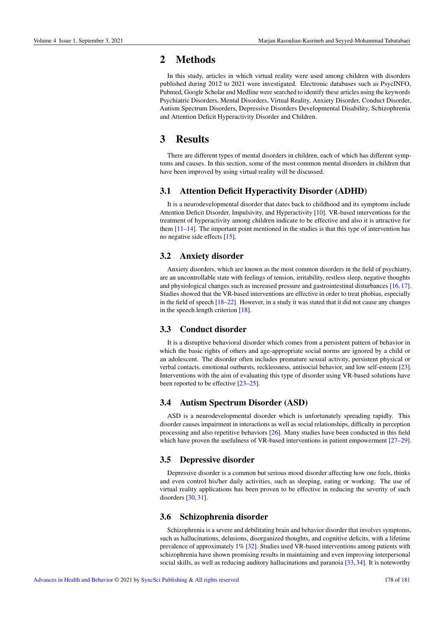## 2 Methods

In this study, articles in which virtual reality were used among children with disorders published during 2012 to 2021 were investigated. Electronic databases such as PsycINFO, Pubmed, Google Scholar and Medline were searched to identify these articles using the keywords Psychiatric Disorders, Mental Disorders, Virtual Reality, Anxiety Disorder, Conduct Disorder, Autism Spectrum Disorders, Depressive Disorders Developmental Disability, Schizophrenia and Attention Deficit Hyperactivity Disorder and Children.

## 3 Results

There are different types of mental disorders in children, each of which has different symptoms and causes. In this section, some of the most common mental disorders in children that have been improved by using virtual reality will be discussed.

### 3.1 Attention Deficit Hyperactivity Disorder (ADHD)

It is a neurodevelopmental disorder that dates back to childhood and its symptoms include Attention Deficit Disorder, Impulsivity, and Hyperactivity [\[10\]](#page-3-6). VR-based interventions for the treatment of hyperactivity among children indicate to be effective and also it is attractive for them  $[11–14]$  $[11–14]$ . The important point mentioned in the studies is that this type of intervention has no negative side effects [\[15\]](#page-3-9).

### 3.2 Anxiety disorder

Anxiety disorders, which are known as the most common disorders in the field of psychiatry, are an uncontrollable state with feelings of tension, irritability, restless sleep, negative thoughts and physiological changes such as increased pressure and gastrointestinal disturbances [\[16,](#page-3-10) [17\]](#page-3-11). Studies showed that the VR-based interventions are effective in order to treat phobias, especially in the field of speech [\[18](#page-3-12)[–22\]](#page-3-13). However, in a study it was stated that it did not cause any changes in the speech length criterion [\[18\]](#page-3-12).

#### 3.3 Conduct disorder

It is a disruptive behavioral disorder which comes from a persistent pattern of behavior in which the basic rights of others and age-appropriate social norms are ignored by a child or an adolescent. The disorder often includes premature sexual activity, persistent physical or verbal contacts, emotional outbursts, recklessness, antisocial behavior, and low self-esteem [\[23\]](#page-3-14). Interventions with the aim of evaluating this type of disorder using VR-based solutions have been reported to be effective [\[23–](#page-3-14)[25\]](#page-4-1).

### 3.4 Autism Spectrum Disorder (ASD)

ASD is a neurodevelopmental disorder which is unfortunately spreading rapidly. This disorder causes impairment in interactions as well as social relationships, difficulty in perception processing and also repetitive behaviors [\[26\]](#page-4-2). Many studies have been conducted in this field which have proven the usefulness of VR-based interventions in patient empowerment [\[27–](#page-4-3)[29\]](#page-4-4).

### 3.5 Depressive disorder

Depressive disorder is a common but serious mood disorder affecting how one feels, thinks and even control his/her daily activities, such as sleeping, eating or working. The use of virtual reality applications has been proven to be effective in reducing the severity of such disorders [\[30,](#page-4-5) [31\]](#page-4-6).

#### 3.6 Schizophrenia disorder

Schizophrenia is a severe and debilitating brain and behavior disorder that involves symptoms, such as hallucinations, delusions, disorganized thoughts, and cognitive deficits, with a lifetime prevalence of approximately 1% [\[32\]](#page-4-7). Studies used VR-based interventions among patients with schizophrenia have shown promising results in maintaining and even improving interpersonal social skills, as well as reducing auditory hallucinations and paranoia [\[33,](#page-4-8) [34\]](#page-4-9). It is noteworthy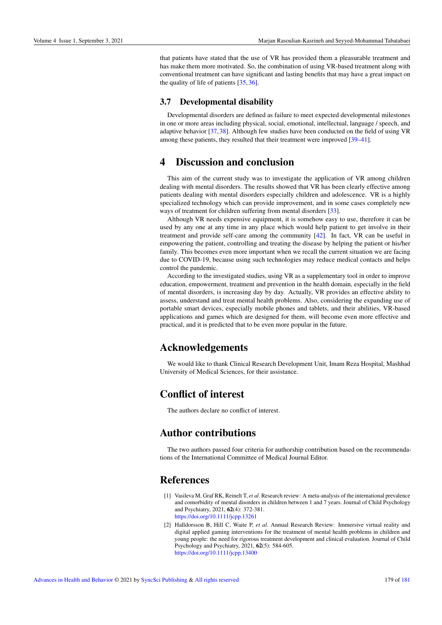that patients have stated that the use of VR has provided them a pleasurable treatment and has make them more motivated. So, the combination of using VR-based treatment along with conventional treatment can have significant and lasting benefits that may have a great impact on the quality of life of patients [\[35,](#page-4-10) [36\]](#page-4-11).

#### 3.7 Developmental disability

Developmental disorders are defined as failure to meet expected developmental milestones in one or more areas including physical, social, emotional, intellectual, language / speech, and adaptive behavior [\[37,](#page-4-12) [38\]](#page-4-13). Although few studies have been conducted on the field of using VR among these patients, they resulted that their treatment were improved [\[39–](#page-4-14)[41\]](#page-4-15).

## 4 Discussion and conclusion

This aim of the current study was to investigate the application of VR among children dealing with mental disorders. The results showed that VR has been clearly effective among patients dealing with mental disorders especially children and adolescence. VR is a highly specialized technology which can provide improvement, and in some cases completely new ways of treatment for children suffering from mental disorders [\[33\]](#page-4-8).

Although VR needs expensive equipment, it is somehow easy to use, therefore it can be used by any one at any time in any place which would help patient to get involve in their treatment and provide self-care among the community [\[42\]](#page-4-16). In fact, VR can be useful in empowering the patient, controlling and treating the disease by helping the patient or his/her family. This becomes even more important when we recall the current situation we are facing due to COVID-19, because using such technologies may reduce medical contacts and helps control the pandemic.

According to the investigated studies, using VR as a supplementary tool in order to improve education, empowerment, treatment and prevention in the health domain, especially in the field of mental disorders, is increasing day by day. Actually, VR provides an effective ability to assess, understand and treat mental health problems. Also, considering the expanding use of portable smart devices, especially mobile phones and tablets, and their abilities, VR-based applications and games which are designed for them, will become even more effective and practical, and it is predicted that to be even more popular in the future.

### Acknowledgements

We would like to thank Clinical Research Development Unit, Imam Reza Hospital, Mashhad University of Medical Sciences, for their assistance.

# Conflict of interest

The authors declare no conflict of interest.

# Author contributions

The two authors passed four criteria for authorship contribution based on the recommendations of the International Committee of Medical Journal Editor.

### References

- <span id="page-2-0"></span>[1] Vasileva M, Graf RK, Reinelt T, *et al*. Research review: A meta-analysis of the international prevalence and comorbidity of mental disorders in children between 1 and 7 years. Journal of Child Psychology and Psychiatry, 2021, 62(4): 372-381. <https://doi.org/10.1111/jcpp.13261>
- <span id="page-2-1"></span>[2] Halldorsson B, Hill C, Waite P, *et al*. Annual Research Review: Immersive virtual reality and digital applied gaming interventions for the treatment of mental health problems in children and young people: the need for rigorous treatment development and clinical evaluation. Journal of Child Psychology and Psychiatry, 2021, 62(5): 584-605. <https://doi.org/10.1111/jcpp.13400>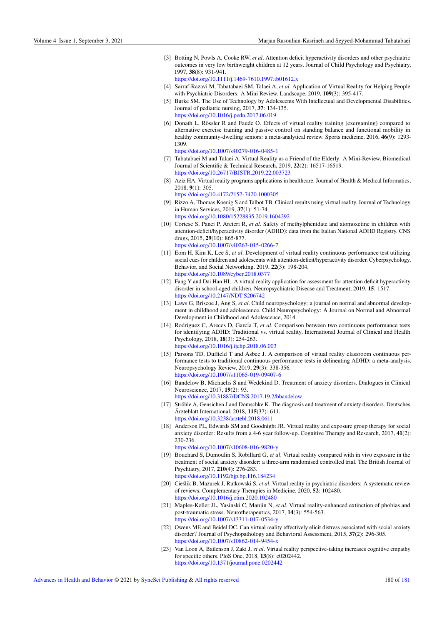[3] Botting N, Powls A, Cooke RW, *et al*. Attention deficit hyperactivity disorders and other psychiatric outcomes in very low birthweight children at 12 years. Journal of Child Psychology and Psychiatry, 1997, 38(8): 931-941.

<https://doi.org/10.1111/j.1469-7610.1997.tb01612.x>

- <span id="page-3-3"></span>[4] Sarraf-Razavi M, Tabatabaei SM, Talaei A, *et al*. Application of Virtual Reality for Helping People with Psychiatric Disorders: A Mini Review. Landscape, 2019, 109(3): 395-417.
- <span id="page-3-0"></span>[5] Burke SM. The Use of Technology by Adolescents With Intellectual and Developmental Disabilities. Journal of pediatric nursing, 2017, 37: 134-135. <https://doi.org/10.1016/j.pedn.2017.06.019>
- <span id="page-3-1"></span>[6] Donath L, Rössler R and Faude O. Effects of virtual reality training (exergaming) compared to alternative exercise training and passive control on standing balance and functional mobility in healthy community-dwelling seniors: a meta-analytical review. Sports medicine, 2016, 46(9): 1293- 1309.

<https://doi.org/10.1007/s40279-016-0485-1>

- <span id="page-3-2"></span>[7] Tabatabaei M and Talaei A. Virtual Reality as a Friend of the Elderly: A Mini-Review. Biomedical Journal of Scientific & Technical Research, 2019, 22(2): 16517-16519. <https://doi.org/10.26717/BJSTR.2019.22.003723>
- <span id="page-3-4"></span>[8] Aziz HA. Virtual reality programs applications in healthcare. Journal of Health & Medical Informatics, 2018, 9(1): 305.

<https://doi.org/10.4172/2157-7420.1000305>

- <span id="page-3-5"></span>[9] Rizzo A, Thomas Koenig S and Talbot TB. Clinical results using virtual reality. Journal of Technology in Human Services, 2019, 37(1): 51-74. <https://doi.org/10.1080/15228835.2019.1604292>
- <span id="page-3-6"></span>[10] Cortese S, Panei P, Arcieri R, *et al*. Safety of methylphenidate and atomoxetine in children with attention-deficit/hyperactivity disorder (ADHD): data from the Italian National ADHD Registry. CNS drugs, 2015, 29(10): 865-877. <https://doi.org/10.1007/s40263-015-0266-7>
- <span id="page-3-7"></span>[11] Eom H, Kim K, Lee S, *et al*. Development of virtual reality continuous performance test utilizing social cues for children and adolescents with attention-deficit/hyperactivity disorder. Cyberpsychology, Behavior, and Social Networking, 2019, 22(3): 198-204. <https://doi.org/10.1089/cyber.2018.0377>
- [12] Fang Y and Dai Han HL. A virtual reality application for assessment for attention deficit hyperactivity disorder in school-aged children. Neuropsychiatric Disease and Treatment, 2019, 15: 1517. <https://doi.org/10.2147/NDT.S206742>
- [13] Laws G, Briscoe J, Ang S, *et al*. Child neuropsychology: a journal on normal and abnormal development in childhood and adolescence. Child Neuropsychology: A Journal on Normal and Abnormal Development in Childhood and Adolescence, 2014.
- <span id="page-3-8"></span>[14] Rodríguez C, Areces D, García T, *et al.* Comparison between two continuous performance tests for identifying ADHD: Traditional vs. virtual reality. International Journal of Clinical and Health Psychology, 2018, 18(3): 254-263. <https://doi.org/10.1016/j.ijchp.2018.06.003>
- <span id="page-3-9"></span>[15] Parsons TD, Duffield T and Asbee J. A comparison of virtual reality classroom continuous performance tests to traditional continuous performance tests in delineating ADHD: a meta-analysis. Neuropsychology Review, 2019, 29(3): 338-356. <https://doi.org/10.1007/s11065-019-09407-6>
- <span id="page-3-10"></span>[16] Bandelow B, Michaelis S and Wedekind D. Treatment of anxiety disorders. Dialogues in Clinical Neuroscience, 2017, 19(2): 93.

<https://doi.org/10.31887/DCNS.2017.19.2/bbandelow>

- <span id="page-3-11"></span>[17] Ströhle A, Gensichen J and Domschke K. The diagnosis and treatment of anxiety disorders. Deutsches  $\text{Arzteblatt International}$ , 2018, 115(37): 611. <https://doi.org/10.3238/arztebl.2018.0611>
- <span id="page-3-12"></span>[18] Anderson PL, Edwards SM and Goodnight JR. Virtual reality and exposure group therapy for social anxiety disorder: Results from a 4-6 year follow-up. Cognitive Therapy and Research, 2017, 41(2): 230-236.

<https://doi.org/10.1007/s10608-016-9820-y>

- [19] Bouchard S, Dumoulin S, Robillard G, *et al*. Virtual reality compared with in vivo exposure in the treatment of social anxiety disorder: a three-arm randomised controlled trial. The British Journal of Psychiatry, 2017, 210(4): 276-283. <https://doi.org/10.1192/bjp.bp.116.184234>
- [20] Cieślik B, Mazurek J, Rutkowski S, et al. Virtual reality in psychiatric disorders: A systematic review of reviews. Complementary Therapies in Medicine, 2020, 52: 102480. <https://doi.org/10.1016/j.ctim.2020.102480>
- [21] Maples-Keller JL, Yasinski C, Manjin N, *et al*. Virtual reality-enhanced extinction of phobias and post-traumatic stress. Neurotherapeutics, 2017, 14(3): 554-563. <https://doi.org/10.1007/s13311-017-0534-y>
- <span id="page-3-13"></span>[22] Owens ME and Beidel DC. Can virtual reality effectively elicit distress associated with social anxiety disorder? Journal of Psychopathology and Behavioral Assessment, 2015, 37(2): 296-305. <https://doi.org/10.1007/s10862-014-9454-x>
- <span id="page-3-14"></span>[23] Van Loon A, Bailenson J, Zaki J, *et al*. Virtual reality perspective-taking increases cognitive empathy for specific others. PloS One, 2018, 13(8): e0202442. <https://doi.org/10.1371/journal.pone.0202442>